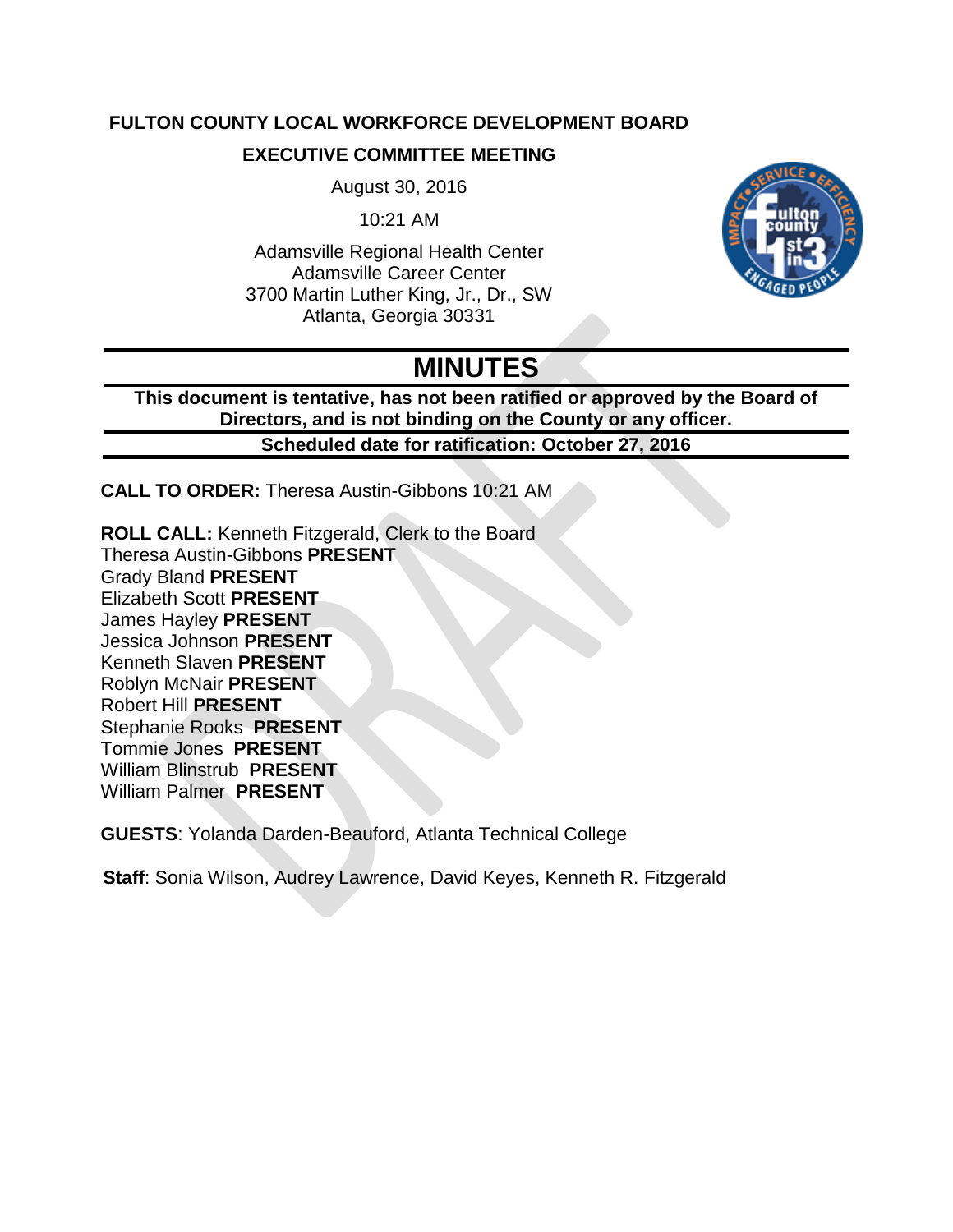## **FULTON COUNTY LOCAL WORKFORCE DEVELOPMENT BOARD**

### **EXECUTIVE COMMITTEE MEETING**

August 30, 2016

10:21 AM

Adamsville Regional Health Center Adamsville Career Center 3700 Martin Luther King, Jr., Dr., SW Atlanta, Georgia 30331



# **MINUTES**

**This document is tentative, has not been ratified or approved by the Board of Directors, and is not binding on the County or any officer. Scheduled date for ratification: October 27, 2016**

**CALL TO ORDER:** Theresa Austin-Gibbons 10:21 AM

**ROLL CALL:** Kenneth Fitzgerald, Clerk to the Board Theresa Austin-Gibbons **PRESENT** Grady Bland **PRESENT** Elizabeth Scott **PRESENT** James Hayley **PRESENT** Jessica Johnson **PRESENT** Kenneth Slaven **PRESENT** Roblyn McNair **PRESENT** Robert Hill **PRESENT** Stephanie Rooks **PRESENT** Tommie Jones **PRESENT** William Blinstrub **PRESENT** William Palmer **PRESENT**

**GUESTS**: Yolanda Darden-Beauford, Atlanta Technical College

**Staff**: Sonia Wilson, Audrey Lawrence, David Keyes, Kenneth R. Fitzgerald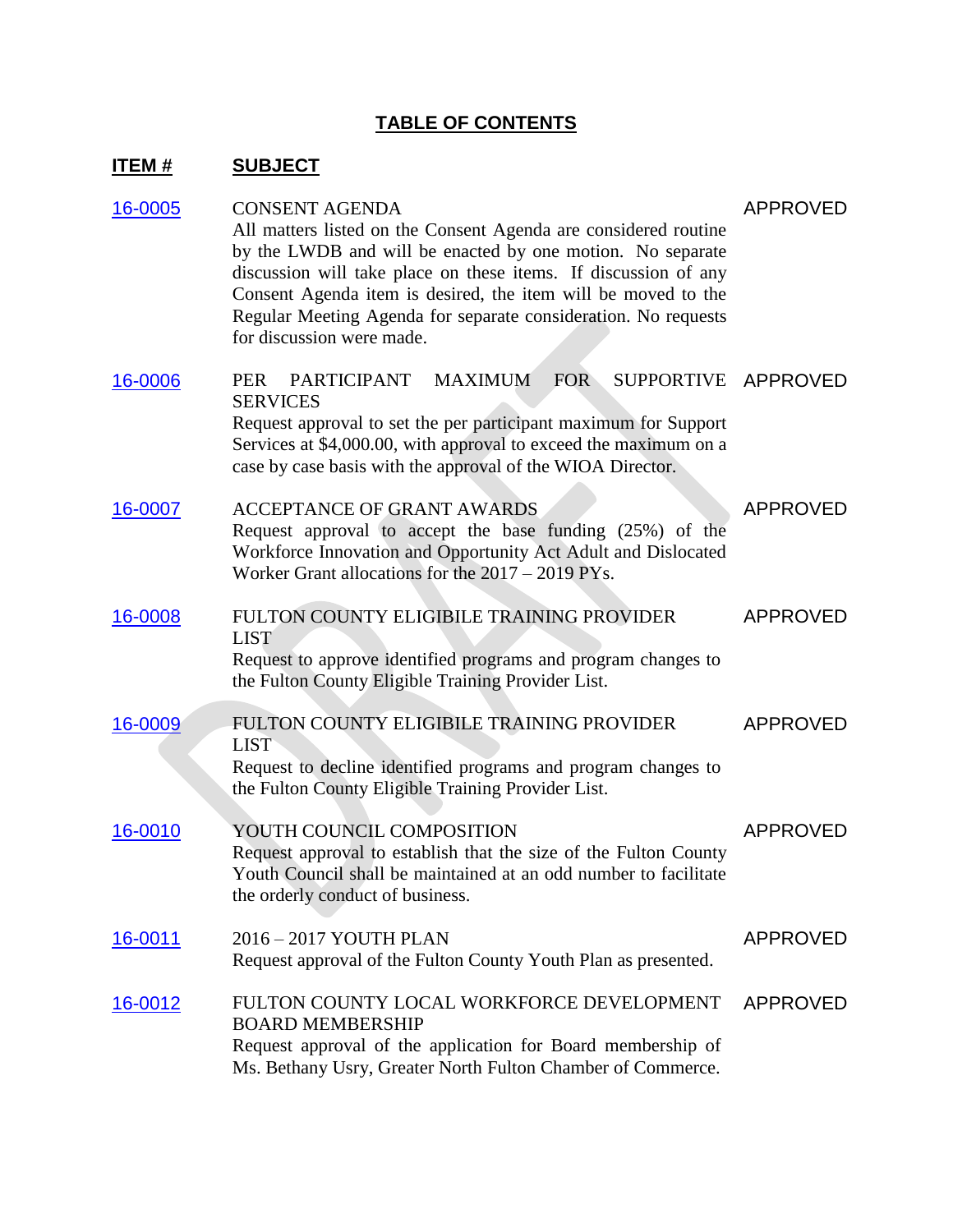# **TABLE OF CONTENTS**

# **ITEM # SUBJECT**

| 16-0005 | <b>CONSENT AGENDA</b><br>All matters listed on the Consent Agenda are considered routine<br>by the LWDB and will be enacted by one motion. No separate<br>discussion will take place on these items. If discussion of any<br>Consent Agenda item is desired, the item will be moved to the<br>Regular Meeting Agenda for separate consideration. No requests<br>for discussion were made. | <b>APPROVED</b> |
|---------|-------------------------------------------------------------------------------------------------------------------------------------------------------------------------------------------------------------------------------------------------------------------------------------------------------------------------------------------------------------------------------------------|-----------------|
| 16-0006 | <b>PARTICIPANT</b><br><b>MAXIMUM</b><br>FOR<br><b>SUPPORTIVE</b><br><b>PER</b><br><b>SERVICES</b><br>Request approval to set the per participant maximum for Support<br>Services at \$4,000.00, with approval to exceed the maximum on a<br>case by case basis with the approval of the WIOA Director.                                                                                    | APPROVED        |
| 16-0007 | <b>ACCEPTANCE OF GRANT AWARDS</b><br>Request approval to accept the base funding (25%) of the<br>Workforce Innovation and Opportunity Act Adult and Dislocated<br>Worker Grant allocations for the $2017 - 2019$ PYs.                                                                                                                                                                     | <b>APPROVED</b> |
| 16-0008 | FULTON COUNTY ELIGIBILE TRAINING PROVIDER<br><b>LIST</b><br>Request to approve identified programs and program changes to<br>the Fulton County Eligible Training Provider List.                                                                                                                                                                                                           | <b>APPROVED</b> |
| 16-0009 | FULTON COUNTY ELIGIBILE TRAINING PROVIDER<br><b>LIST</b><br>Request to decline identified programs and program changes to<br>the Fulton County Eligible Training Provider List.                                                                                                                                                                                                           | APPROVED        |
| 16-0010 | YOUTH COUNCIL COMPOSITION<br>Request approval to establish that the size of the Fulton County<br>Youth Council shall be maintained at an odd number to facilitate<br>the orderly conduct of business.                                                                                                                                                                                     | <b>APPROVED</b> |
| 16-0011 | 2016 - 2017 YOUTH PLAN<br>Request approval of the Fulton County Youth Plan as presented.                                                                                                                                                                                                                                                                                                  | APPROVED        |
| 16-0012 | FULTON COUNTY LOCAL WORKFORCE DEVELOPMENT<br><b>BOARD MEMBERSHIP</b><br>Request approval of the application for Board membership of<br>Ms. Bethany Usry, Greater North Fulton Chamber of Commerce.                                                                                                                                                                                        | APPROVED        |